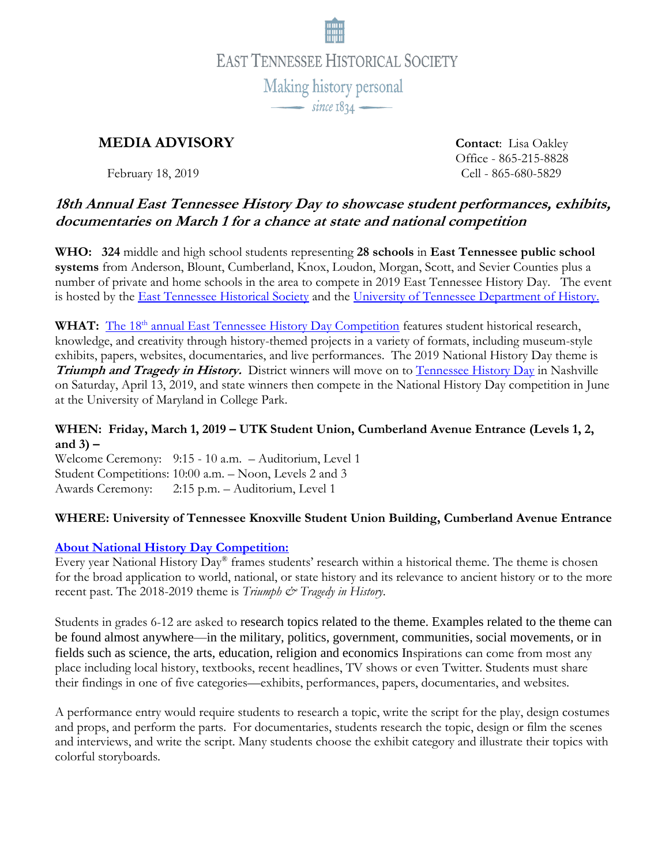

# **MEDIA ADVISORY Contact**: Lisa Oakley

Office - 865-215-8828 February 18, 2019 Cell - 865-680-5829

## **18th Annual East Tennessee History Day to showcase student performances, exhibits, documentaries on March 1 for a chance at state and national competition**

**WHO: 324** middle and high school students representing **28 schools** in **East Tennessee public school systems** from Anderson, Blount, Cumberland, Knox, Loudon, Morgan, Scott, and Sevier Counties plus a number of private and home schools in the area to compete in 2019 East Tennessee History Day. The event is hosted by the [East Tennessee Historical Society](http://www.easttnhistory.org/) and the [University of Tennessee Department of History.](http://history.utk.edu/)

WHAT: The 18<sup>th</sup> [annual East Tennessee History Day Competition](http://www.easttnhistory.org/education/national-history-day) features student historical research, knowledge, and creativity through history-themed projects in a variety of formats, including museum-style exhibits, papers, websites, documentaries, and live performances. The 2019 National History Day theme is **Triumph and Tragedy in History.** District winners will move on to [Tennessee History Day](http://www.tennesseehistory.org/) in Nashville on Saturday, April 13, 2019, and state winners then compete in the National History Day competition in June at the University of Maryland in College Park.

#### **WHEN: Friday, March 1, 2019 – UTK Student Union, Cumberland Avenue Entrance (Levels 1, 2, and 3) –**

Welcome Ceremony: 9:15 - 10 a.m. – Auditorium, Level 1 Student Competitions: 10:00 a.m. – Noon, Levels 2 and 3 Awards Ceremony: 2:15 p.m. – Auditorium, Level 1

### **WHERE: University of Tennessee Knoxville Student Union Building, Cumberland Avenue Entrance**

### **[About National History Day Competition:](https://www.nhd.org/triumph-tragedy-history)**

Every year National History Day® frames students' research within a historical theme. The theme is chosen for the broad application to world, national, or state history and its relevance to ancient history or to the more recent past. The 2018-2019 theme is *Triumph & Tragedy in History*.

Students in grades 6-12 are asked to research topics related to the theme. Examples related to the theme can be found almost anywhere—in the military, politics, government, communities, social movements, or in fields such as science, the arts, education, religion and economics Inspirations can come from most any place including local history, textbooks, recent headlines, TV shows or even Twitter. Students must share their findings in one of five categories—exhibits, performances, papers, documentaries, and websites.

A performance entry would require students to research a topic, write the script for the play, design costumes and props, and perform the parts. For documentaries, students research the topic, design or film the scenes and interviews, and write the script. Many students choose the exhibit category and illustrate their topics with colorful storyboards.